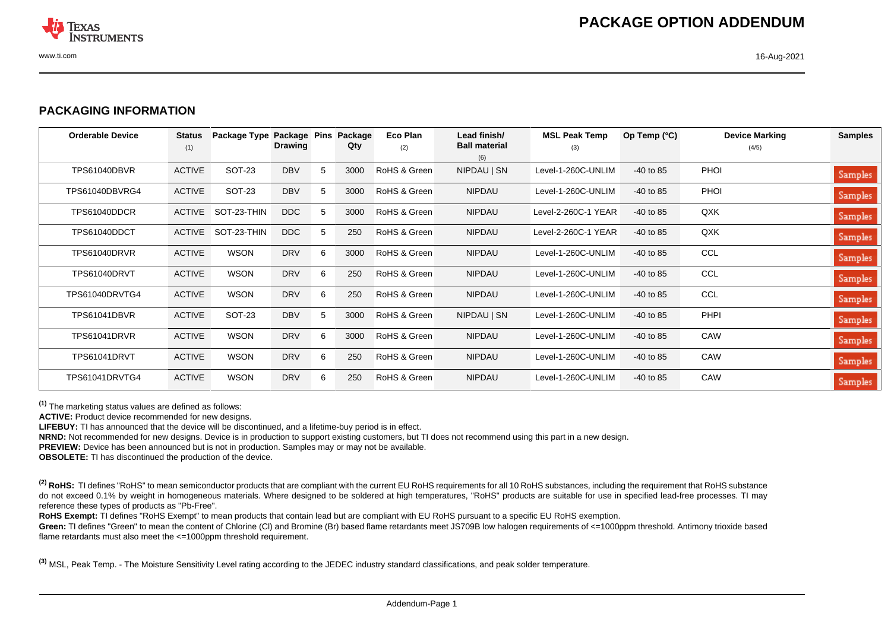

## **PACKAGING INFORMATION**

| <b>Orderable Device</b> | <b>Status</b><br>(1) | Package Type Package Pins | <b>Drawing</b> |   | Package<br>Qty | Eco Plan<br>(2) | Lead finish/<br><b>Ball material</b> | <b>MSL Peak Temp</b><br>(3) | Op Temp $(^\circ C)$ | <b>Device Marking</b><br>(4/5) | <b>Samples</b> |
|-------------------------|----------------------|---------------------------|----------------|---|----------------|-----------------|--------------------------------------|-----------------------------|----------------------|--------------------------------|----------------|
|                         |                      |                           |                |   |                |                 | (6)                                  |                             |                      |                                |                |
| TPS61040DBVR            | <b>ACTIVE</b>        | SOT-23                    | <b>DBV</b>     | 5 | 3000           | RoHS & Green    | NIPDAU   SN                          | Level-1-260C-UNLIM          | $-40$ to 85          | <b>PHOI</b>                    | Samples        |
| TPS61040DBVRG4          | <b>ACTIVE</b>        | <b>SOT-23</b>             | <b>DBV</b>     | 5 | 3000           | RoHS & Green    | <b>NIPDAU</b>                        | Level-1-260C-UNLIM          | $-40$ to 85          | <b>PHOI</b>                    | Samples        |
| TPS61040DDCR            | <b>ACTIVE</b>        | SOT-23-THIN               | DDC            | 5 | 3000           | RoHS & Green    | <b>NIPDAU</b>                        | Level-2-260C-1 YEAR         | $-40$ to 85          | QXK                            | Samples        |
| TPS61040DDCT            | ACTIVE               | SOT-23-THIN               | DDC            | 5 | 250            | RoHS & Green    | <b>NIPDAU</b>                        | Level-2-260C-1 YEAR         | $-40$ to 85          | QXK                            | Samples        |
| TPS61040DRVR            | <b>ACTIVE</b>        | <b>WSON</b>               | <b>DRV</b>     | 6 | 3000           | RoHS & Green    | <b>NIPDAU</b>                        | Level-1-260C-UNLIM          | $-40$ to 85          | CCL                            | Samples        |
| TPS61040DRVT            | <b>ACTIVE</b>        | <b>WSON</b>               | <b>DRV</b>     | 6 | 250            | RoHS & Green    | <b>NIPDAU</b>                        | Level-1-260C-UNLIM          | $-40$ to 85          | CCL                            | Samples        |
| TPS61040DRVTG4          | <b>ACTIVE</b>        | <b>WSON</b>               | <b>DRV</b>     | 6 | 250            | RoHS & Green    | <b>NIPDAU</b>                        | Level-1-260C-UNLIM          | $-40$ to 85          | <b>CCL</b>                     | Samples        |
| TPS61041DBVR            | <b>ACTIVE</b>        | SOT-23                    | <b>DBV</b>     | 5 | 3000           | RoHS & Green    | NIPDAU   SN                          | Level-1-260C-UNLIM          | $-40$ to 85          | <b>PHPI</b>                    | Samples        |
| TPS61041DRVR            | <b>ACTIVE</b>        | <b>WSON</b>               | <b>DRV</b>     | 6 | 3000           | RoHS & Green    | <b>NIPDAU</b>                        | Level-1-260C-UNLIM          | $-40$ to 85          | CAW                            | <b>Samples</b> |
| <b>TPS61041DRVT</b>     | <b>ACTIVE</b>        | <b>WSON</b>               | <b>DRV</b>     | 6 | 250            | RoHS & Green    | <b>NIPDAU</b>                        | Level-1-260C-UNLIM          | $-40$ to 85          | CAW                            | Samples        |
| TPS61041DRVTG4          | <b>ACTIVE</b>        | <b>WSON</b>               | <b>DRV</b>     | 6 | 250            | RoHS & Green    | <b>NIPDAU</b>                        | Level-1-260C-UNLIM          | $-40$ to 85          | CAW                            | Samples        |

**(1)** The marketing status values are defined as follows:

**ACTIVE:** Product device recommended for new designs.

**LIFEBUY:** TI has announced that the device will be discontinued, and a lifetime-buy period is in effect.

**NRND:** Not recommended for new designs. Device is in production to support existing customers, but TI does not recommend using this part in a new design.

**PREVIEW:** Device has been announced but is not in production. Samples may or may not be available.

**OBSOLETE:** TI has discontinued the production of the device.

<sup>(2)</sup> RoHS: TI defines "RoHS" to mean semiconductor products that are compliant with the current EU RoHS requirements for all 10 RoHS substances, including the requirement that RoHS substance do not exceed 0.1% by weight in homogeneous materials. Where designed to be soldered at high temperatures, "RoHS" products are suitable for use in specified lead-free processes. TI may reference these types of products as "Pb-Free".

RoHS Exempt: TI defines "RoHS Exempt" to mean products that contain lead but are compliant with EU RoHS pursuant to a specific EU RoHS exemption.

Green: TI defines "Green" to mean the content of Chlorine (CI) and Bromine (Br) based flame retardants meet JS709B low halogen requirements of <=1000ppm threshold. Antimony trioxide based flame retardants must also meet the <=1000ppm threshold requirement.

**(3)** MSL, Peak Temp. - The Moisture Sensitivity Level rating according to the JEDEC industry standard classifications, and peak solder temperature.